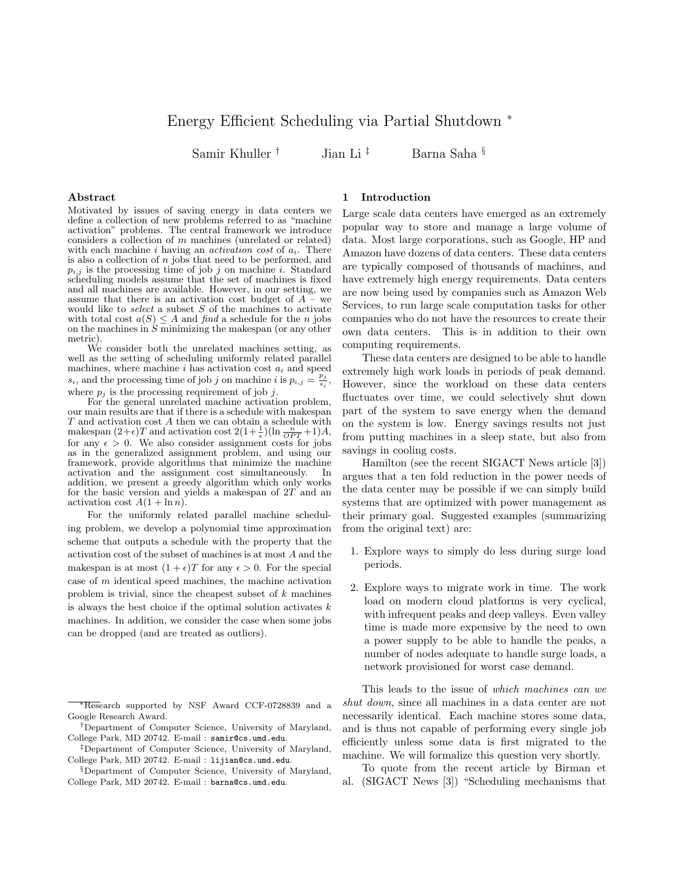# Energy Efficient Scheduling via Partial Shutdown <sup>∗</sup>

Samir Khuller † Jian Li ‡ Barna Saha §

## Abstract

Motivated by issues of saving energy in data centers we define a collection of new problems referred to as "machine activation" problems. The central framework we introduce considers a collection of  $m$  machines (unrelated or related) with each machine i having an *activation cost* of  $a_i$ . There is also a collection of  $n$  jobs that need to be performed, and  $p_{i,j}$  is the processing time of job j on machine i. Standard scheduling models assume that the set of machines is fixed and all machines are available. However, in our setting, we assume that there is an activation cost budget of  $A - w$ would like to select a subset  $S$  of the machines to activate with total cost  $a(S) \leq A$  and find a schedule for the n jobs on the machines in  $S$  minimizing the makespan (or any other metric).

We consider both the unrelated machines setting, as well as the setting of scheduling uniformly related parallel machines, where machine  $i$  has activation cost  $a_i$  and speed  $s_i$ , and the processing time of job j on machine i is  $p_{i,j} = \frac{p_j}{s}$ .  $\frac{p_j}{s_i},$ where  $p_i$  is the processing requirement of job j.

For the general unrelated machine activation problem, our main results are that if there is a schedule with makespan  $T$  and activation cost  $A$  then we can obtain a schedule with makespan  $(2+\epsilon)T$  and activation cost  $2(1+\frac{1}{\epsilon})(\ln \frac{n}{OPT}+1)A$ , for any  $\epsilon > 0$ . We also consider assignment costs for jobs as in the generalized assignment problem, and using our framework, provide algorithms that minimize the machine activation and the assignment cost simultaneously. In addition, we present a greedy algorithm which only works for the basic version and yields a makespan of 2T and an activation cost  $A(1 + \ln n)$ .

For the uniformly related parallel machine scheduling problem, we develop a polynomial time approximation scheme that outputs a schedule with the property that the activation cost of the subset of machines is at most A and the makespan is at most  $(1 + \epsilon)T$  for any  $\epsilon > 0$ . For the special case of m identical speed machines, the machine activation problem is trivial, since the cheapest subset of k machines is always the best choice if the optimal solution activates  $k$ machines. In addition, we consider the case when some jobs can be dropped (and are treated as outliers).

#### 1 Introduction

Large scale data centers have emerged as an extremely popular way to store and manage a large volume of data. Most large corporations, such as Google, HP and Amazon have dozens of data centers. These data centers are typically composed of thousands of machines, and have extremely high energy requirements. Data centers are now being used by companies such as Amazon Web Services, to run large scale computation tasks for other companies who do not have the resources to create their own data centers. This is in addition to their own computing requirements.

These data centers are designed to be able to handle extremely high work loads in periods of peak demand. However, since the workload on these data centers fluctuates over time, we could selectively shut down part of the system to save energy when the demand on the system is low. Energy savings results not just from putting machines in a sleep state, but also from savings in cooling costs.

Hamilton (see the recent SIGACT News article [3]) argues that a ten fold reduction in the power needs of the data center may be possible if we can simply build systems that are optimized with power management as their primary goal. Suggested examples (summarizing from the original text) are:

- 1. Explore ways to simply do less during surge load periods.
- 2. Explore ways to migrate work in time. The work load on modern cloud platforms is very cyclical, with infrequent peaks and deep valleys. Even valley time is made more expensive by the need to own a power supply to be able to handle the peaks, a number of nodes adequate to handle surge loads, a network provisioned for worst case demand.

This leads to the issue of which machines can we shut down, since all machines in a data center are not necessarily identical. Each machine stores some data, and is thus not capable of performing every single job efficiently unless some data is first migrated to the machine. We will formalize this question very shortly.

To quote from the recent article by Birman et al. (SIGACT News [3]) "Scheduling mechanisms that

<sup>∗</sup>Research supported by NSF Award CCF-0728839 and a Google Research Award.

<sup>†</sup>Department of Computer Science, University of Maryland, College Park, MD 20742. E-mail : samir@cs.umd.edu.

<sup>‡</sup>Department of Computer Science, University of Maryland, College Park, MD 20742. E-mail : lijian@cs.umd.edu.

<sup>§</sup>Department of Computer Science, University of Maryland, College Park, MD 20742. E-mail : barna@cs.umd.edu.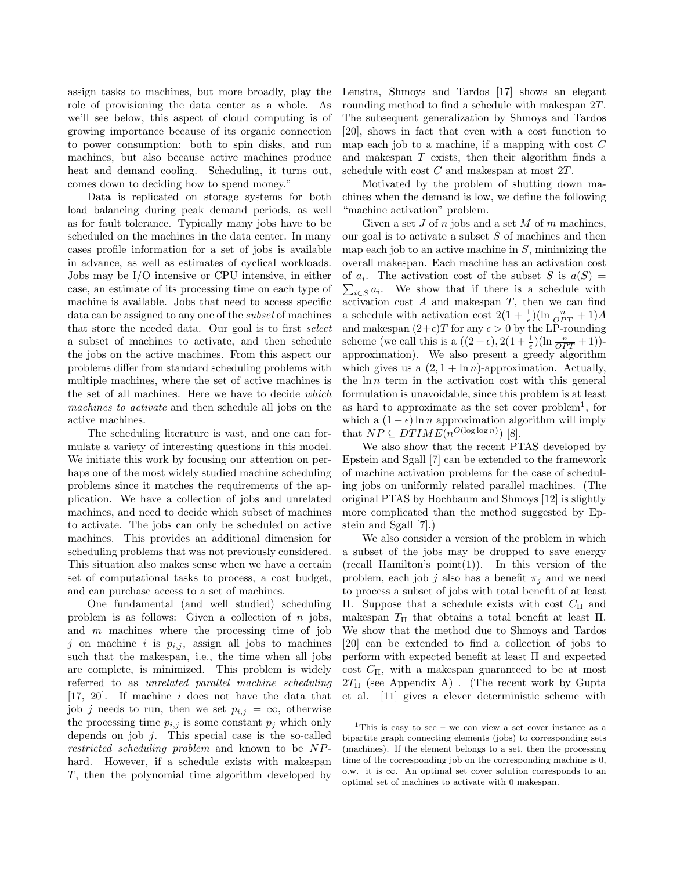assign tasks to machines, but more broadly, play the role of provisioning the data center as a whole. As we'll see below, this aspect of cloud computing is of growing importance because of its organic connection to power consumption: both to spin disks, and run machines, but also because active machines produce heat and demand cooling. Scheduling, it turns out, comes down to deciding how to spend money."

Data is replicated on storage systems for both load balancing during peak demand periods, as well as for fault tolerance. Typically many jobs have to be scheduled on the machines in the data center. In many cases profile information for a set of jobs is available in advance, as well as estimates of cyclical workloads. Jobs may be I/O intensive or CPU intensive, in either case, an estimate of its processing time on each type of machine is available. Jobs that need to access specific data can be assigned to any one of the subset of machines that store the needed data. Our goal is to first select a subset of machines to activate, and then schedule the jobs on the active machines. From this aspect our problems differ from standard scheduling problems with multiple machines, where the set of active machines is the set of all machines. Here we have to decide which machines to activate and then schedule all jobs on the active machines.

The scheduling literature is vast, and one can formulate a variety of interesting questions in this model. We initiate this work by focusing our attention on perhaps one of the most widely studied machine scheduling problems since it matches the requirements of the application. We have a collection of jobs and unrelated machines, and need to decide which subset of machines to activate. The jobs can only be scheduled on active machines. This provides an additional dimension for scheduling problems that was not previously considered. This situation also makes sense when we have a certain set of computational tasks to process, a cost budget, and can purchase access to a set of machines.

One fundamental (and well studied) scheduling problem is as follows: Given a collection of  $n$  jobs, and  $m$  machines where the processing time of job j on machine i is  $p_{i,j}$ , assign all jobs to machines such that the makespan, i.e., the time when all jobs are complete, is minimized. This problem is widely referred to as unrelated parallel machine scheduling [17, 20]. If machine i does not have the data that job j needs to run, then we set  $p_{i,j} = \infty$ , otherwise the processing time  $p_{i,j}$  is some constant  $p_j$  which only depends on job  $j$ . This special case is the so-called restricted scheduling problem and known to be NPhard. However, if a schedule exists with makespan T, then the polynomial time algorithm developed by

Lenstra, Shmoys and Tardos [17] shows an elegant rounding method to find a schedule with makespan 2T. The subsequent generalization by Shmoys and Tardos [20], shows in fact that even with a cost function to map each job to a machine, if a mapping with cost  $C$ and makespan  $T$  exists, then their algorithm finds a schedule with cost C and makespan at most 2T.

Motivated by the problem of shutting down machines when the demand is low, we define the following "machine activation" problem.

Given a set  $J$  of  $n$  jobs and a set  $M$  of  $m$  machines, our goal is to activate a subset  $S$  of machines and then map each job to an active machine in  $S$ , minimizing the overall makespan. Each machine has an activation cost of  $a_i$ . The activation cost of the subset S is  $a(S)$  =  $\sum_{i\in S} a_i$ . We show that if there is a schedule with activation cost  $A$  and makespan  $T$ , then we can find a schedule with activation cost  $2(1 + \frac{1}{\epsilon})(\ln \frac{n}{OPT} + 1)A$ and makespan  $(2+\epsilon)T$  for any  $\epsilon > 0$  by the LP-rounding scheme (we call this is a  $((2 + \epsilon), 2(1 + \frac{1}{\epsilon})(\ln \frac{n}{OPT} + 1))$ approximation). We also present a greedy algorithm which gives us a  $(2, 1 + \ln n)$ -approximation. Actually, the  $\ln n$  term in the activation cost with this general formulation is unavoidable, since this problem is at least as hard to approximate as the set cover  $problem<sup>1</sup>$ , for which a  $(1 - \epsilon) \ln n$  approximation algorithm will imply that  $NP \subseteq DTIME(n^{O(\log \log n)})$  [8].

We also show that the recent PTAS developed by Epstein and Sgall [7] can be extended to the framework of machine activation problems for the case of scheduling jobs on uniformly related parallel machines. (The original PTAS by Hochbaum and Shmoys [12] is slightly more complicated than the method suggested by Epstein and Sgall [7].)

We also consider a version of the problem in which a subset of the jobs may be dropped to save energy  $(\text{recall Hamilton's point}(1))$ . In this version of the problem, each job j also has a benefit  $\pi_i$  and we need to process a subset of jobs with total benefit of at least Π. Suppose that a schedule exists with cost  $C<sub>Π</sub>$  and makespan  $T_{\Pi}$  that obtains a total benefit at least  $\Pi$ . We show that the method due to Shmoys and Tardos [20] can be extended to find a collection of jobs to perform with expected benefit at least Π and expected cost  $C_{\Pi}$ , with a makespan guaranteed to be at most  $2T_{\Pi}$  (see Appendix A). (The recent work by Gupta et al. [11] gives a clever deterministic scheme with

 $\frac{1}{1}$ This is easy to see – we can view a set cover instance as a bipartite graph connecting elements (jobs) to corresponding sets (machines). If the element belongs to a set, then the processing time of the corresponding job on the corresponding machine is 0, o.w. it is ∞. An optimal set cover solution corresponds to an optimal set of machines to activate with 0 makespan.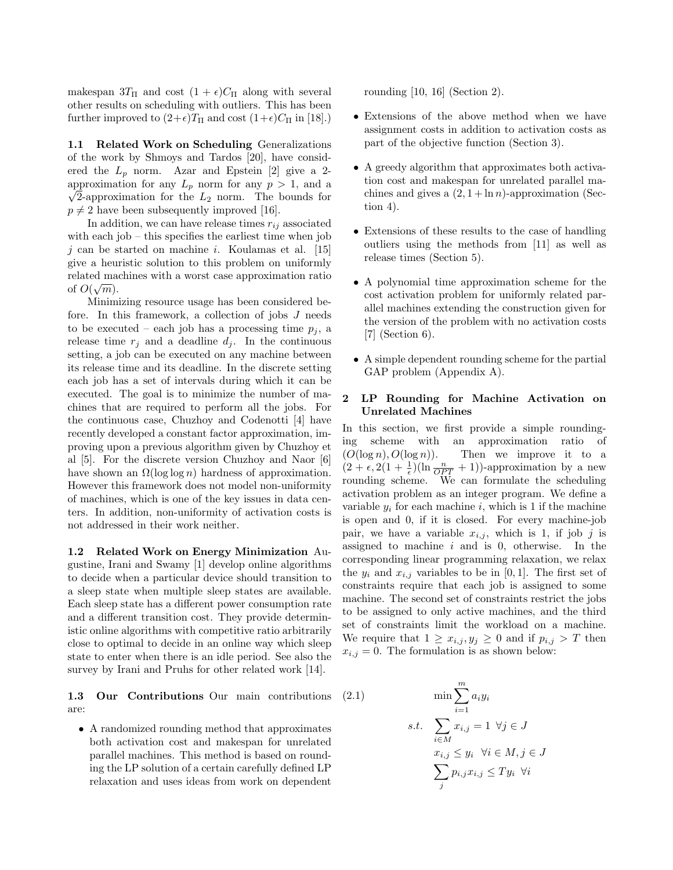makespan  $3T_{\Pi}$  and cost  $(1 + \epsilon)C_{\Pi}$  along with several other results on scheduling with outliers. This has been further improved to  $(2+\epsilon)T_{\Pi}$  and cost  $(1+\epsilon)C_{\Pi}$  in [18].)

1.1 Related Work on Scheduling Generalizations of the work by Shmoys and Tardos [20], have considered the  $L_p$  norm. Azar and Epstein [2] give a 2approximation for any  $L_p$  norm for any  $p > 1$ , and a  $\sqrt{2}$ -approximation for the  $L_2$  norm. The bounds for  $p \neq 2$  have been subsequently improved [16].

In addition, we can have release times  $r_{ij}$  associated with each job – this specifies the earliest time when job  $j$  can be started on machine *i*. Koulamas et al. [15] give a heuristic solution to this problem on uniformly related machines with a worst case approximation ratio  $\hat{f} \odot (\overline{\mathcal{L}})$ of  $O(\sqrt{m})$ .

Minimizing resource usage has been considered before. In this framework, a collection of jobs J needs to be executed – each job has a processing time  $p_i$ , a release time  $r_j$  and a deadline  $d_j$ . In the continuous setting, a job can be executed on any machine between its release time and its deadline. In the discrete setting each job has a set of intervals during which it can be executed. The goal is to minimize the number of machines that are required to perform all the jobs. For the continuous case, Chuzhoy and Codenotti [4] have recently developed a constant factor approximation, improving upon a previous algorithm given by Chuzhoy et al [5]. For the discrete version Chuzhoy and Naor [6] have shown an  $\Omega(\log \log n)$  hardness of approximation. However this framework does not model non-uniformity of machines, which is one of the key issues in data centers. In addition, non-uniformity of activation costs is not addressed in their work neither.

1.2 Related Work on Energy Minimization Augustine, Irani and Swamy [1] develop online algorithms to decide when a particular device should transition to a sleep state when multiple sleep states are available. Each sleep state has a different power consumption rate and a different transition cost. They provide deterministic online algorithms with competitive ratio arbitrarily close to optimal to decide in an online way which sleep state to enter when there is an idle period. See also the survey by Irani and Pruhs for other related work [14].

1.3 Our Contributions Our main contributions are:

• A randomized rounding method that approximates both activation cost and makespan for unrelated parallel machines. This method is based on rounding the LP solution of a certain carefully defined LP relaxation and uses ideas from work on dependent rounding [10, 16] (Section 2).

- Extensions of the above method when we have assignment costs in addition to activation costs as part of the objective function (Section 3).
- A greedy algorithm that approximates both activation cost and makespan for unrelated parallel machines and gives a  $(2, 1 + \ln n)$ -approximation (Section 4).
- Extensions of these results to the case of handling outliers using the methods from [11] as well as release times (Section 5).
- A polynomial time approximation scheme for the cost activation problem for uniformly related parallel machines extending the construction given for the version of the problem with no activation costs [7] (Section 6).
- A simple dependent rounding scheme for the partial GAP problem (Appendix A).

# 2 LP Rounding for Machine Activation on Unrelated Machines

In this section, we first provide a simple roundinging scheme with an approximation ratio of  $(O(\log n), O(\log n)).$  Then we improve it to a  $(2 + \epsilon, 2(1 + \frac{1}{\epsilon})(\ln \frac{n}{OPT} + 1))$ -approximation by a new rounding scheme. We can formulate the scheduling activation problem as an integer program. We define a variable  $y_i$  for each machine i, which is 1 if the machine is open and 0, if it is closed. For every machine-job pair, we have a variable  $x_{i,j}$ , which is 1, if job j is assigned to machine  $i$  and is 0, otherwise. In the corresponding linear programming relaxation, we relax the  $y_i$  and  $x_{i,j}$  variables to be in [0, 1]. The first set of constraints require that each job is assigned to some machine. The second set of constraints restrict the jobs to be assigned to only active machines, and the third set of constraints limit the workload on a machine. We require that  $1 \geq x_{i,j}, y_j \geq 0$  and if  $p_{i,j} > T$  then  $x_{i,j} = 0$ . The formulation is as shown below:

(2.1) 
$$
\min \sum_{i=1}^{m} a_i y_i
$$

$$
s.t. \sum_{i \in M} x_{i,j} = 1 \ \forall j \in J
$$

$$
x_{i,j} \le y_i \ \forall i \in M, j \in J
$$

$$
\sum_{j} p_{i,j} x_{i,j} \le Ty_i \ \forall i
$$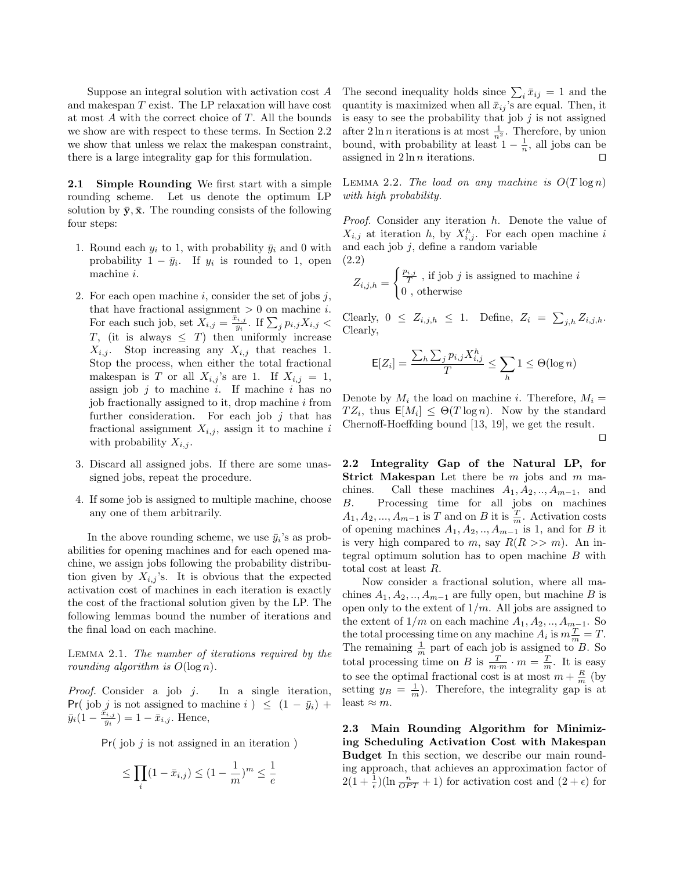Suppose an integral solution with activation cost A and makespan T exist. The LP relaxation will have cost at most A with the correct choice of T. All the bounds we show are with respect to these terms. In Section 2.2 we show that unless we relax the makespan constraint, there is a large integrality gap for this formulation.

2.1 Simple Rounding We first start with a simple rounding scheme. Let us denote the optimum LP solution by  $\bar{y}, \bar{x}$ . The rounding consists of the following four steps:

- 1. Round each  $y_i$  to 1, with probability  $\bar{y}_i$  and 0 with probability  $1 - \bar{y}_i$ . If  $y_i$  is rounded to 1, open machine i.
- 2. For each open machine  $i$ , consider the set of jobs  $j$ , that have fractional assignment  $> 0$  on machine *i*. For each such job, set  $X_{i,j} = \frac{\bar{x}_{i,j}}{\bar{y}_i}$  $\frac{\sum_{i,j}}{\bar{y}_i}$ . If  $\sum_j p_{i,j} X_{i,j}$  < T, (it is always  $\leq$  T) then uniformly increase  $X_{i,j}$ . Stop increasing any  $X_{i,j}$  that reaches 1. Stop the process, when either the total fractional makespan is T or all  $X_{i,j}$ 's are 1. If  $X_{i,j} = 1$ , assign job  $j$  to machine  $i$ . If machine  $i$  has no job fractionally assigned to it, drop machine  $i$  from further consideration. For each job  $j$  that has fractional assignment  $X_{i,j}$ , assign it to machine i with probability  $X_{i,j}$ .
- 3. Discard all assigned jobs. If there are some unassigned jobs, repeat the procedure.
- 4. If some job is assigned to multiple machine, choose any one of them arbitrarily.

In the above rounding scheme, we use  $\bar{y}_i$ 's as probabilities for opening machines and for each opened machine, we assign jobs following the probability distribution given by  $X_{i,j}$ 's. It is obvious that the expected activation cost of machines in each iteration is exactly the cost of the fractional solution given by the LP. The following lemmas bound the number of iterations and the final load on each machine.

Lemma 2.1. The number of iterations required by the rounding algorithm is  $O(\log n)$ .

Proof. Consider a job j. In a single iteration, Pr( job j is not assigned to machine i )  $\leq$   $(1 - \bar{y}_i)$  +  $\bar{y}_i(1-\frac{\bar{x}_{i,j}}{\bar{y}_i})$  $(\frac{\partial i,j}{\partial i}) = 1 - \bar{x}_{i,j}$ . Hence,

 $Pr(job \, j \text{ is not assigned in an iteration})$ 

$$
\leq \prod_i (1-\bar{x}_{i,j}) \leq (1-\frac{1}{m})^m \leq \frac{1}{e}
$$

The second inequality holds since  $\sum_i \bar{x}_{ij} = 1$  and the quantity is maximized when all  $\bar{x}_{ij}$ 's are equal. Then, it is easy to see the probability that job  $j$  is not assigned after  $2 \ln n$  iterations is at most  $\frac{1}{n^2}$ . Therefore, by union bound, with probability at least  $1 - \frac{1}{n}$ , all jobs can be assigned in  $2 \ln n$  iterations.

LEMMA 2.2. The load on any machine is  $O(T \log n)$ with high probability.

Proof. Consider any iteration h. Denote the value of  $X_{i,j}$  at iteration h, by  $X_{i,j}^h$ . For each open machine i and each job  $j$ , define a random variable (2.2)

$$
Z_{i,j,h} = \begin{cases} \frac{p_{i,j}}{T} \text{, if job } j \text{ is assigned to machine } i\\ 0 \text{, otherwise} \end{cases}
$$

Clearly,  $0 \leq Z_{i,j,h} \leq 1$ . Define,  $Z_i = \sum_{j,h} Z_{i,j,h}$ . Clearly,

$$
\mathsf{E}[Z_i] = \frac{\sum_h \sum_j p_{i,j} X^h_{i,j}}{T} \le \sum_h 1 \le \Theta(\log n)
$$

Denote by  $M_i$  the load on machine i. Therefore,  $M_i =$  $TZ_i$ , thus  $E[M_i] \leq \Theta(T \log n)$ . Now by the standard Chernoff-Hoeffding bound [13, 19], we get the result.

 $\Box$ 

2.2 Integrality Gap of the Natural LP, for Strict Makespan Let there be  $m$  jobs and  $m$  machines. Call these machines  $A_1, A_2, ..., A_{m-1}$ , and B. Processing time for all jobs on machines  $A_1, A_2, ..., A_{m-1}$  is T and on B it is  $\frac{T}{m}$ . Activation costs of opening machines  $A_1, A_2, \ldots, A_{m-1}$  is 1, and for B it is very high compared to m, say  $R(R \gg m)$ . An integral optimum solution has to open machine  $B$  with total cost at least R.

Now consider a fractional solution, where all machines  $A_1, A_2, \ldots, A_{m-1}$  are fully open, but machine B is open only to the extent of  $1/m$ . All jobs are assigned to the extent of  $1/m$  on each machine  $A_1, A_2, \ldots, A_{m-1}$ . So the total processing time on any machine  $A_i$  is  $m \frac{T}{m} = T$ . The remaining  $\frac{1}{m}$  part of each job is assigned to B. So total processing time on B is  $\frac{T}{m \cdot m} \cdot m = \frac{T}{m}$ . It is easy to see the optimal fractional cost is at most  $m + \frac{R}{m}$  (by setting  $y_B = \frac{1}{m}$ . Therefore, the integrality gap is at least  $\approx m$ .

2.3 Main Rounding Algorithm for Minimizing Scheduling Activation Cost with Makespan Budget In this section, we describe our main rounding approach, that achieves an approximation factor of  $2(1+\frac{1}{\epsilon})(\ln \frac{n}{OPT}+1)$  for activation cost and  $(2+\epsilon)$  for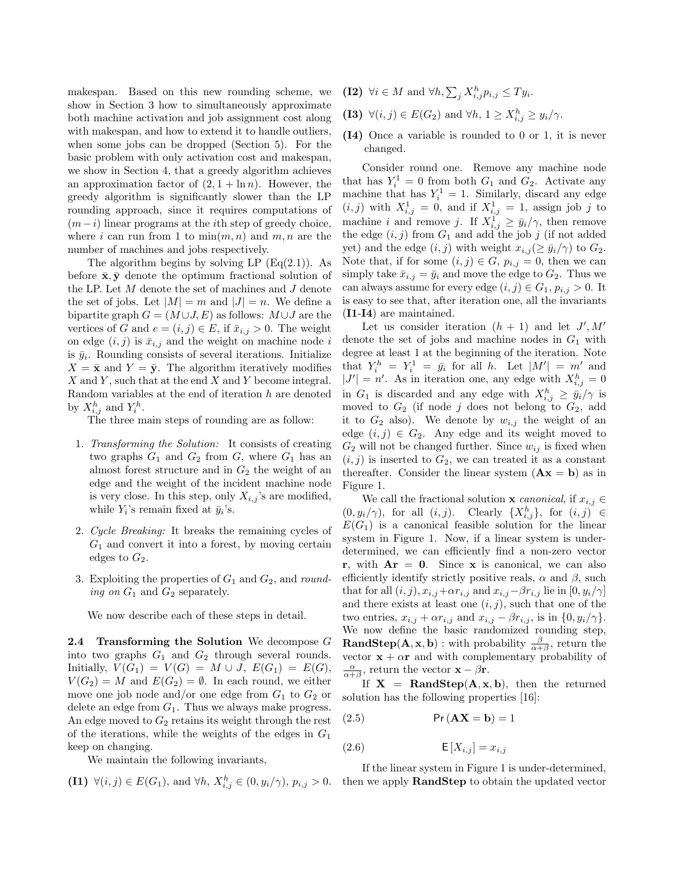makespan. Based on this new rounding scheme, we show in Section 3 how to simultaneously approximate both machine activation and job assignment cost along with makespan, and how to extend it to handle outliers, when some jobs can be dropped (Section 5). For the basic problem with only activation cost and makespan, we show in Section 4, that a greedy algorithm achieves an approximation factor of  $(2, 1 + \ln n)$ . However, the greedy algorithm is significantly slower than the LP rounding approach, since it requires computations of  $(m-i)$  linear programs at the *i*th step of greedy choice, where i can run from 1 to  $\min(m, n)$  and m, n are the number of machines and jobs respectively.

The algorithm begins by solving LP  $(Eq(2.1))$ . As before  $\bar{\mathbf{x}}, \bar{\mathbf{y}}$  denote the optimum fractional solution of the LP. Let M denote the set of machines and J denote the set of jobs. Let  $|M| = m$  and  $|J| = n$ . We define a bipartite graph  $G = (M \cup J, E)$  as follows:  $M \cup J$  are the vertices of G and  $e = (i, j) \in E$ , if  $\bar{x}_{i,j} > 0$ . The weight on edge  $(i, j)$  is  $\bar{x}_{i,j}$  and the weight on machine node i is  $\bar{y}_i$ . Rounding consists of several iterations. Initialize  $X = \bar{\mathbf{x}}$  and  $Y = \bar{\mathbf{y}}$ . The algorithm iteratively modifies  $X$  and  $Y$ , such that at the end  $X$  and  $Y$  become integral. Random variables at the end of iteration h are denoted by  $X_{i,j}^h$  and  $Y_i^h$ .

The three main steps of rounding are as follow:

- 1. Transforming the Solution: It consists of creating two graphs  $G_1$  and  $G_2$  from  $G$ , where  $G_1$  has an almost forest structure and in  $G_2$  the weight of an edge and the weight of the incident machine node is very close. In this step, only  $X_{i,j}$ 's are modified, while  $Y_i$ 's remain fixed at  $\bar{y}_i$ 's.
- 2. Cycle Breaking: It breaks the remaining cycles of  $G_1$  and convert it into a forest, by moving certain edges to  $G_2$ .
- 3. Exploiting the properties of  $G_1$  and  $G_2$ , and rounding on  $G_1$  and  $G_2$  separately.

We now describe each of these steps in detail.

**2.4 Transforming the Solution** We decompose  $G$ into two graphs  $G_1$  and  $G_2$  through several rounds. Initially,  $V(G_1) = V(G) = M \cup J$ ,  $E(G_1) = E(G)$ ,  $V(G_2) = M$  and  $E(G_2) = \emptyset$ . In each round, we either move one job node and/or one edge from  $G_1$  to  $G_2$  or delete an edge from  $G_1$ . Thus we always make progress. An edge moved to  $G_2$  retains its weight through the rest of the iterations, while the weights of the edges in  $G_1$ keep on changing.

We maintain the following invariants,

(11) 
$$
\forall (i, j) \in E(G_1)
$$
, and  $\forall h, X_{i,j}^h \in (0, y_i/\gamma), p_{i,j} > 0$ .

- (I2)  $\forall i \in M$  and  $\forall h, \sum_j X_{i,j}^h p_{i,j} \leq T y_i$ .
- (I3)  $\forall (i, j) \in E(G_2)$  and  $\forall h, 1 \geq X_{i,j}^h \geq y_i/\gamma$ .
- (I4) Once a variable is rounded to 0 or 1, it is never changed.

Consider round one. Remove any machine node that has  $Y_i^1 = 0$  from both  $G_1$  and  $G_2$ . Activate any machine that has  $Y_i^1 = 1$ . Similarly, discard any edge  $(i, j)$  with  $X_{i,j}^1 = 0$ , and if  $X_{i,j}^1 = 1$ , assign job j to machine *i* and remove *j*. If  $X_{i,j}^{\mathcal{I}} \geq \bar{y}_i/\gamma$ , then remove the edge  $(i, j)$  from  $G_1$  and add the job j (if not added yet) and the edge  $(i, j)$  with weight  $x_{i,j} (\ge \bar{y}_i/\gamma)$  to  $G_2$ . Note that, if for some  $(i, j) \in G$ ,  $p_{i,j} = 0$ , then we can simply take  $\bar{x}_{i,j} = \bar{y}_i$  and move the edge to  $G_2$ . Thus we can always assume for every edge  $(i, j) \in G_1, p_{i,j} > 0$ . It is easy to see that, after iteration one, all the invariants (I1-I4) are maintained.

Let us consider iteration  $(h + 1)$  and let  $J', M'$ denote the set of jobs and machine nodes in  $G_1$  with degree at least 1 at the beginning of the iteration. Note that  $Y_i^h = Y_i^1 = \bar{y}_i$  for all h. Let  $|M'| = m'$  and  $|J'| = n'$ . As in iteration one, any edge with  $X_{i,j}^h = 0$ in  $G_1$  is discarded and any edge with  $X_{i,j}^h \geq \bar{y}_i/\gamma$  is moved to  $G_2$  (if node j does not belong to  $G_2$ , add it to  $G_2$  also). We denote by  $w_{i,j}$  the weight of an edge  $(i, j) \in G_2$ . Any edge and its weight moved to  $G_2$  will not be changed further. Since  $w_{ij}$  is fixed when  $(i, j)$  is inserted to  $G_2$ , we can treated it as a constant thereafter. Consider the linear system  $(Ax = b)$  as in Figure 1.

We call the fractional solution **x** canonical, if  $x_{i,j} \in$  $(0, y_i/\gamma)$ , for all  $(i, j)$ . Clearly  $\{X_{i,j}^h\}$ , for  $(i, j) \in$  $E(G_1)$  is a canonical feasible solution for the linear system in Figure 1. Now, if a linear system is underdetermined, we can efficiently find a non-zero vector r, with  $Ar = 0$ . Since x is canonical, we can also efficiently identify strictly positive reals,  $\alpha$  and  $\beta$ , such that for all  $(i, j)$ ,  $x_{i,j} + \alpha r_{i,j}$  and  $x_{i,j} - \beta r_{i,j}$  lie in  $[0, y_i/\gamma]$ and there exists at least one  $(i, j)$ , such that one of the two entries,  $x_{i,j} + \alpha r_{i,j}$  and  $x_{i,j} - \beta r_{i,j}$ , is in  $\{0, y_i/\gamma\}.$ We now define the basic randomized rounding step, **RandStep**( $\mathbf{A}, \mathbf{x}, \mathbf{b}$ ) : with probability  $\frac{\beta}{\alpha + \beta}$ , return the vector  $\mathbf{x} + \alpha \mathbf{r}$  and with complementary probability of  $\frac{\alpha}{\alpha+\beta}$ , return the vector  $\mathbf{x} - \beta \mathbf{r}$ .

If  $X = \text{RandStep}(A, x, b)$ , then the returned solution has the following properties [16]:

(2.5) Pr(AX = b) = 1

$$
(2.6) \qquad \qquad \mathsf{E}\left[X_{i,j}\right] = x_{i,j}
$$

If the linear system in Figure 1 is under-determined, then we apply RandStep to obtain the updated vector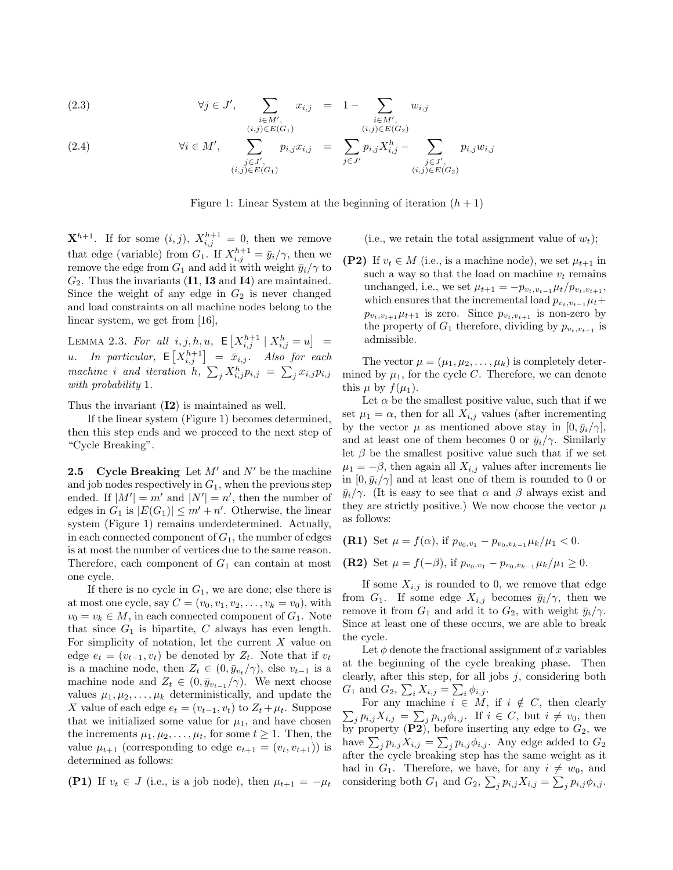(2.3) 
$$
\forall j \in J', \sum_{\substack{i \in M', \\ (i,j) \in E(G_1)}} x_{i,j} = 1 - \sum_{\substack{i \in M', \\ (i,j) \in E(G_2)}} w_{i,j}
$$

(2.4) 
$$
\forall i \in M', \sum_{\substack{j \in J', \\ (i,j) \in E(G_1)}} p_{i,j} x_{i,j} = \sum_{j \in J'} p_{i,j} X_{i,j}^h - \sum_{\substack{j \in J', \\ (i,j) \in E(G_2)}} p_{i,j} w_{i,j}
$$

Figure 1: Linear System at the beginning of iteration  $(h + 1)$ 

 $\mathbf{X}^{h+1}$ . If for some  $(i, j)$ ,  $X_{i,j}^{h+1} = 0$ , then we remove that edge (variable) from  $G_1$ . If  $X_{i,j}^{h+1} = \bar{y}_i/\gamma$ , then we remove the edge from  $G_1$  and add it with weight  $\bar{y}_i/\gamma$  to  $G_2$ . Thus the invariants (**I1, I3** and **I4**) are maintained. Since the weight of any edge in  $G_2$  is never changed and load constraints on all machine nodes belong to the linear system, we get from [16],

LEMMA 2.3. For all  $i, j, h, u$ ,  $E[X_{i,j}^{h+1} | X_{i,j}^h = u] =$ u. In particular,  $E[X_{i,j}^{h+1}] = \bar{x}_{i,j}$ . Also for each machine i and iteration h,  $\sum_j X_{i,j}^h p_{i,j} = \sum_j x_{i,j} p_{i,j}$ with probability 1.

Thus the invariant (I2) is maintained as well.

If the linear system (Figure 1) becomes determined, then this step ends and we proceed to the next step of "Cycle Breaking".

**2.5 Cycle Breaking** Let  $M'$  and  $N'$  be the machine and job nodes respectively in  $G_1$ , when the previous step ended. If  $|M'| = m'$  and  $|N'| = n'$ , then the number of edges in  $G_1$  is  $|E(G_1)| \leq m' + n'$ . Otherwise, the linear system (Figure 1) remains underdetermined. Actually, in each connected component of  $G_1$ , the number of edges is at most the number of vertices due to the same reason. Therefore, each component of  $G_1$  can contain at most one cycle.

If there is no cycle in  $G_1$ , we are done; else there is at most one cycle, say  $C = (v_0, v_1, v_2, \dots, v_k = v_0)$ , with  $v_0 = v_k \in M$ , in each connected component of  $G_1$ . Note that since  $G_1$  is bipartite, C always has even length. For simplicity of notation, let the current  $X$  value on edge  $e_t = (v_{t-1}, v_t)$  be denoted by  $Z_t$ . Note that if  $v_t$ is a machine node, then  $Z_t \in (0, \bar{y}_{v_t}/\gamma)$ , else  $v_{t-1}$  is a machine node and  $Z_t \in (0, \bar{y}_{v_{t-1}}/\gamma)$ . We next choose values  $\mu_1, \mu_2, \ldots, \mu_k$  deterministically, and update the X value of each edge  $e_t = (v_{t-1}, v_t)$  to  $Z_t + \mu_t$ . Suppose that we initialized some value for  $\mu_1$ , and have chosen the increments  $\mu_1, \mu_2, \ldots, \mu_t$ , for some  $t \geq 1$ . Then, the value  $\mu_{t+1}$  (corresponding to edge  $e_{t+1} = (v_t, v_{t+1})$ ) is determined as follows:

(P1) If 
$$
v_t \in J
$$
 (i.e., is a job node), then  $\mu_{t+1} = -\mu_t$ 

(i.e., we retain the total assignment value of  $w_t$ );

(P2) If  $v_t \in M$  (i.e., is a machine node), we set  $\mu_{t+1}$  in such a way so that the load on machine  $v_t$  remains unchanged, i.e., we set  $\mu_{t+1} = -p_{v_t,v_{t-1}}\mu_t/p_{v_t,v_{t+1}},$ which ensures that the incremental load  $p_{v_t,v_{t-1}}\mu_t+$  $p_{v_t,v_{t+1}}\mu_{t+1}$  is zero. Since  $p_{v_t,v_{t+1}}$  is non-zero by the property of  $G_1$  therefore, dividing by  $p_{v_t,v_{t+1}}$  is admissible.

The vector  $\mu = (\mu_1, \mu_2, \dots, \mu_k)$  is completely determined by  $\mu_1$ , for the cycle C. Therefore, we can denote this  $\mu$  by  $f(\mu_1)$ .

Let  $\alpha$  be the smallest positive value, such that if we set  $\mu_1 = \alpha$ , then for all  $X_{i,j}$  values (after incrementing by the vector  $\mu$  as mentioned above stay in  $[0, \bar{y}_i/\gamma],$ and at least one of them becomes 0 or  $\bar{y}_i/\gamma$ . Similarly let  $\beta$  be the smallest positive value such that if we set  $\mu_1 = -\beta$ , then again all  $X_{i,j}$  values after increments lie in  $[0, \bar{y}_i/\gamma]$  and at least one of them is rounded to 0 or  $\bar{y}_i/\gamma$ . (It is easy to see that  $\alpha$  and  $\beta$  always exist and they are strictly positive.) We now choose the vector  $\mu$ as follows:

\n- **(R1)** Set 
$$
\mu = f(\alpha)
$$
, if  $p_{v_0, v_1} - p_{v_0, v_{k-1}} \mu_k / \mu_1 < 0$ .
\n- **(R2)** Set  $\mu = f(-\beta)$ , if  $p_{v_0, v_1} - p_{v_0, v_{k-1}} \mu_k / \mu_1 \geq 0$ .
\n

If some  $X_{i,j}$  is rounded to 0, we remove that edge from  $G_1$ . If some edge  $X_{i,j}$  becomes  $\bar{y}_i/\gamma$ , then we remove it from  $G_1$  and add it to  $G_2$ , with weight  $\bar{y}_i/\gamma$ . Since at least one of these occurs, we are able to break the cycle.

Let  $\phi$  denote the fractional assignment of x variables at the beginning of the cycle breaking phase. Then clearly, after this step, for all jobs  $j$ , considering both  $G_1$  and  $G_2$ ,  $\sum_i X_{i,j} = \sum_i \phi_{i,j}$ .

 $\sum_j p_{i,j} X_{i,j} = \sum_j p_{i,j} \phi_{i,j}.$  If  $i \in C$ , but  $i \neq v_0$ , then For any machine  $i \in M$ , if  $i \notin C$ , then clearly by property  $(P2)$ , before inserting any edge to  $G_2$ , we have  $\sum_j p_{i,j} X_{i,j} = \sum_j p_{i,j} \phi_{i,j}$ . Any edge added to  $G_2$ after the cycle breaking step has the same weight as it had in  $G_1$ . Therefore, we have, for any  $i \neq w_0$ , and considering both  $G_1$  and  $G_2$ ,  $\sum_j p_{i,j} X_{i,j} = \sum_j p_{i,j} \phi_{i,j}$ .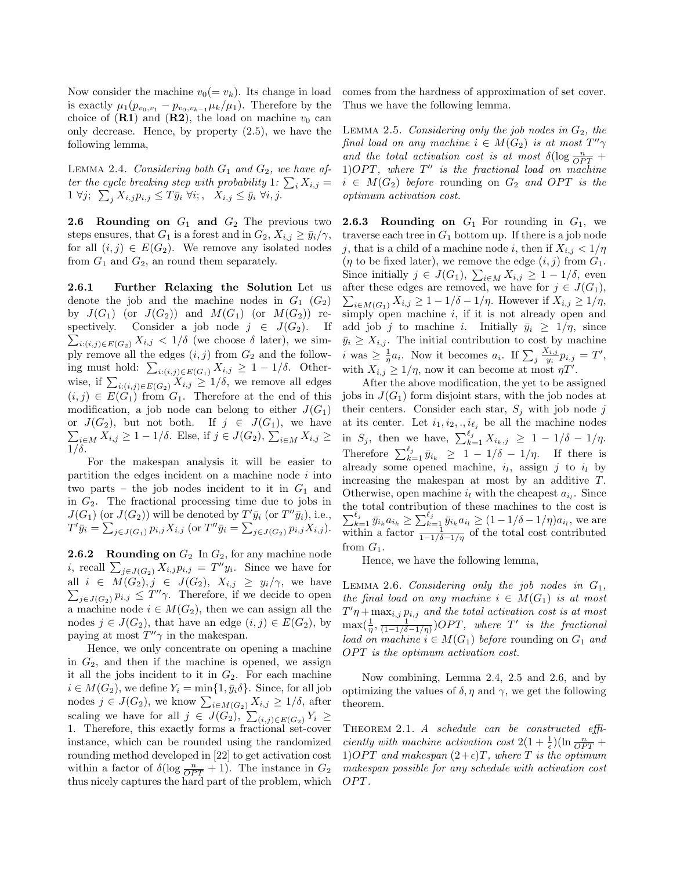Now consider the machine  $v_0(= v_k)$ . Its change in load is exactly  $\mu_1(p_{v_0,v_1}-p_{v_0,v_{k-1}}\mu_k/\mu_1)$ . Therefore by the choice of  $(R1)$  and  $(R2)$ , the load on machine  $v_0$  can only decrease. Hence, by property (2.5), we have the following lemma,

LEMMA 2.4. Considering both  $G_1$  and  $G_2$ , we have after the cycle breaking step with probability 1:  $\sum_i X_{i,j} =$  $1 \forall j; \ \sum_j X_{i,j} p_{i,j} \leq T \bar{y}_i \ \forall i; \ \ X_{i,j} \leq \bar{y}_i \ \forall i, j.$ 

**2.6 Rounding on**  $G_1$  and  $G_2$  The previous two steps ensures, that  $G_1$  is a forest and in  $G_2$ ,  $X_{i,j} \ge \overline{y}_i/\gamma$ , for all  $(i, j) \in E(G_2)$ . We remove any isolated nodes from  $G_1$  and  $G_2$ , an round them separately.

2.6.1 Further Relaxing the Solution Let us denote the job and the machine nodes in  $G_1$   $(G_2)$ by  $J(G_1)$  (or  $J(G_2)$ ) and  $M(G_1)$  (or  $M(G_2)$ ) re- $\sum_{i:(i,j)\in E(G_2)} X_{i,j} < 1/\delta$  (we choose  $\delta$  later), we simspectively. Consider a job node  $j \in J(G_2)$ . If ply remove all the edges  $(i, j)$  from  $G_2$  and the following must hold:  $\sum_{i:(i,j)\in E(G_1)} X_{i,j} \geq 1-1/\delta$ . Otherwise, if  $\sum_{i:(i,j)\in E(G_2)} X_{i,j} \geq 1/\delta$ , we remove all edges  $(i, j) \in E(G_1)$  from  $G_1$ . Therefore at the end of this modification, a job node can belong to either  $J(G_1)$ or  $J(G_2)$ , but not both. If  $j \in J(G_1)$ , we have  $\sum_{i\in M} X_{i,j} \geq 1-1/\delta$ . Else, if  $j \in J(G_2)$ ,  $\sum_{i\in M} X_{i,j} \geq$  $1/\delta$ .

For the makespan analysis it will be easier to partition the edges incident on a machine node  $i$  into two parts – the job nodes incident to it in  $G_1$  and in  $G_2$ . The fractional processing time due to jobs in  $J(G_1)$  (or  $J(G_2)$ ) will be denoted by  $T'\bar{y}_i$  (or  $T''\bar{y}_i$ ), i.e.,  $T' \bar{y}_i = \sum_{j \in J(G_1)} p_{i,j} X_{i,j}$  (or  $T'' \bar{y}_i = \sum_{j \in J(G_2)} p_{i,j} X_{i,j}$ ).

**2.6.2** Rounding on  $G_2$  In  $G_2$ , for any machine node *i*, recall  $\sum_{j\in J(G_2)} X_{i,j} p_{i,j} = T'' y_i$ . Since we have for all  $i \in M(G_2), j \in J(G_2), X_{i,j} \geq y_i/\gamma$ , we have  $\sum_{j\in J(G_2)} p_{i,j} \leq T''\gamma$ . Therefore, if we decide to open a machine node  $i \in M(G_2)$ , then we can assign all the nodes  $j \in J(G_2)$ , that have an edge  $(i, j) \in E(G_2)$ , by paying at most  $T''\gamma$  in the makespan.

Hence, we only concentrate on opening a machine in  $G_2$ , and then if the machine is opened, we assign it all the jobs incident to it in  $G_2$ . For each machine  $i \in M(G_2)$ , we define  $Y_i = \min\{1, \bar{y}_i \delta\}$ . Since, for all job nodes  $j \in J(G_2)$ , we know  $\sum_{i \in M(G_2)} X_{i,j} \geq 1/\delta$ , after scaling we have for all  $j \in J(G_2)$ ,  $\sum_{(i,j)\in E(G_2)} Y_i \geq$ 1. Therefore, this exactly forms a fractional set-cover instance, which can be rounded using the randomized rounding method developed in [22] to get activation cost within a factor of  $\delta(\log \frac{n}{OPT} + 1)$ . The instance in  $G_2$ thus nicely captures the hard part of the problem, which comes from the hardness of approximation of set cover. Thus we have the following lemma.

LEMMA 2.5. Considering only the job nodes in  $G_2$ , the final load on any machine  $i \in M(G_2)$  is at most  $T''\gamma$ and the total activation cost is at most  $\delta(\log \frac{n}{OPT} +$  $1) OPT$ , where  $T''$  is the fractional load on machine  $i \in M(G_2)$  before rounding on  $G_2$  and OPT is the optimum activation cost.

**2.6.3 Rounding on**  $G_1$  For rounding in  $G_1$ , we traverse each tree in  $G_1$  bottom up. If there is a job node j, that is a child of a machine node i, then if  $X_{i,j} < 1/\eta$  $(\eta$  to be fixed later), we remove the edge  $(i, j)$  from  $G_1$ . Since initially  $j \in J(G_1)$ ,  $\sum_{i \in M} X_{i,j} \geq 1 - 1/\delta$ , even after these edges are removed, we have for  $j \in J(G_1)$ ,  $\sum_{i\in M(G_1)} X_{i,j} \geq 1-1/\delta - 1/\eta$ . However if  $X_{i,j} \geq 1/\eta$ , simply open machine  $i$ , if it is not already open and add job j to machine i. Initially  $\bar{y}_i \geq 1/\eta$ , since  $\bar{y}_i \geq X_{i,j}$ . The initial contribution to cost by machine *i* was  $\geq \frac{1}{\eta}a_i$ . Now it becomes  $a_i$ . If  $\sum_j \frac{X_{i,j}}{y_i}$  $\frac{\zeta_{i,j}}{y_i}p_{i,j}=T',$ with  $X_{i,j} \geq 1/\eta$ , now it can become at most  $\eta T'$ .

After the above modification, the yet to be assigned jobs in  $J(G_1)$  form disjoint stars, with the job nodes at their centers. Consider each star,  $S_j$  with job node j at its center. Let  $i_1, i_2, \ldots, i_{\ell_j}$  be all the machine nodes in  $S_j$ , then we have,  $\sum_{k=1}^{\ell_j} X_{i_k,j} \geq 1 - 1/\delta - 1/\eta$ . Therefore  $\sum_{k=1}^{\ell_j} \bar{y}_{i_k} \geq 1 - 1/\delta - 1/\eta$ . If there is already some opened machine,  $i_l$ , assign j to  $i_l$  by increasing the makespan at most by an additive T. Otherwise, open machine  $i_l$  with the cheapest  $a_{i_l}$ . Since the total contribution of these machines to the cost is  $\sum_{k=1}^{\ell_j} \bar{y}_{i_k} a_{i_k} \ge \sum_{k=1}^{\ell_j} \bar{y}_{i_k} a_{i_l} \ge (1 - 1/\delta - 1/\eta) a_{i_l}$ , we are within a factor  $\frac{1}{1-1/\delta-1/\eta}$  of the total cost contributed from  $G_1$ .

Hence, we have the following lemma,

LEMMA 2.6. Considering only the job nodes in  $G_1$ , the final load on any machine  $i \in M(G_1)$  is at most  $T'\eta + \max_{i,j} p_{i,j}$  and the total activation cost is at most  $\max(\frac{1}{\eta}, \frac{1}{(1-1/\delta-1/\eta)})OPT$ , where T' is the fractional load on machine  $i \in M(G_1)$  before rounding on  $G_1$  and  $OPT$  is the optimum activation cost.

Now combining, Lemma 2.4, 2.5 and 2.6, and by optimizing the values of  $\delta$ ,  $\eta$  and  $\gamma$ , we get the following theorem.

THEOREM 2.1. A schedule can be constructed efficiently with machine activation cost  $2(1 + \frac{1}{\epsilon})(\ln \frac{n}{OPT})$ 1) OPT and makespan  $(2+\epsilon)T$ , where T is the optimum makespan possible for any schedule with activation cost OPT.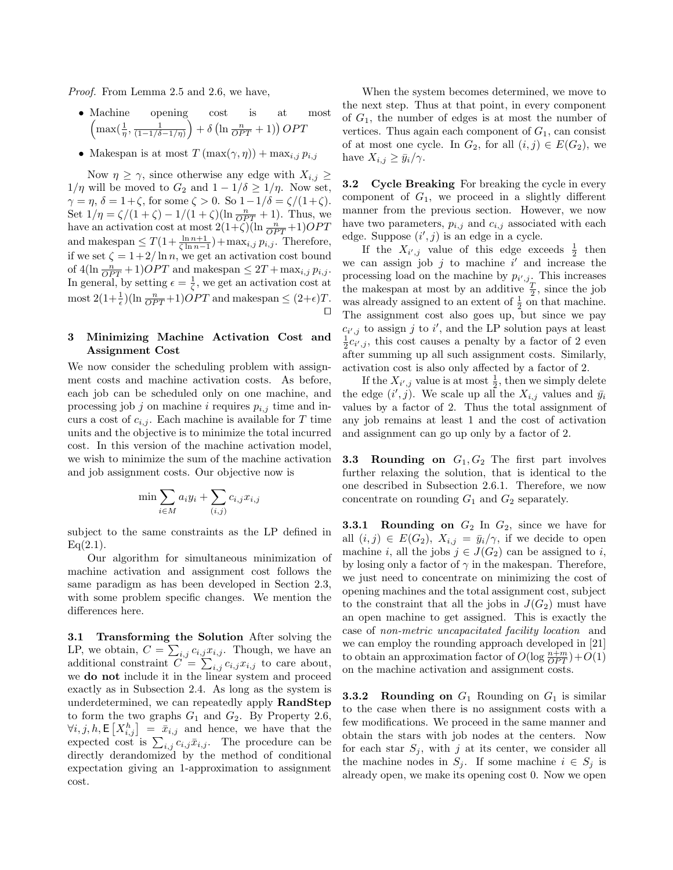Proof. From Lemma 2.5 and 2.6, we have,

- Machine opening cost is at most  $\left(\max\left(\frac{1}{\eta}, \frac{1}{(1-1/\delta-1/\eta)}\right)+\delta\left(\ln\frac{n}{OPT}+1\right)\right) OPT$
- Makespan is at most  $T(\max(\gamma, \eta)) + \max_{i,j} p_{i,j}$

Now  $\eta \geq \gamma$ , since otherwise any edge with  $X_{i,j} \geq$  $1/\eta$  will be moved to  $G_2$  and  $1 - 1/\delta \geq 1/\eta$ . Now set,  $\gamma = \eta$ ,  $\delta = 1 + \zeta$ , for some  $\zeta > 0$ . So  $1 - 1/\delta = \zeta/(1 + \zeta)$ . Set  $1/\eta = \zeta/(1+\zeta) - 1/(1+\zeta)(\ln \frac{n}{OPT} + 1)$ . Thus, we have an activation cost at most  $2(1+\tilde{\zeta})\overline{\left(\ln \frac{n}{OPT}+1\right)OPT}$ and makespan  $\leq T(1+\frac{\ln n+1}{\zeta \ln n-1})+\max_{i,j} p_{i,j}$ . Therefore, if we set  $\zeta = 1 + 2/\ln n$ , we get an activation cost bound of  $4(\ln \frac{n}{OPT} + 1)OPT$  and makespan  $\leq 2T + \max_{i,j} p_{i,j}$ . In general, by setting  $\epsilon = \frac{1}{\zeta}$ , we get an activation cost at most  $2(1+\frac{1}{\epsilon})(\ln \frac{n}{OPT}+1)OPT$  and makespan  $\leq (2+\epsilon)T$ .  $\Box$ 

# 3 Minimizing Machine Activation Cost and Assignment Cost

We now consider the scheduling problem with assignment costs and machine activation costs. As before, each job can be scheduled only on one machine, and processing job j on machine i requires  $p_{i,j}$  time and incurs a cost of  $c_{i,j}$ . Each machine is available for T time units and the objective is to minimize the total incurred cost. In this version of the machine activation model, we wish to minimize the sum of the machine activation and job assignment costs. Our objective now is

$$
\min \sum_{i \in M} a_i y_i + \sum_{(i,j)} c_{i,j} x_{i,j}
$$

subject to the same constraints as the LP defined in  $Eq(2.1)$ .

Our algorithm for simultaneous minimization of machine activation and assignment cost follows the same paradigm as has been developed in Section 2.3, with some problem specific changes. We mention the differences here.

3.1 Transforming the Solution After solving the LP, we obtain,  $C = \sum_{i,j} c_{i,j} x_{i,j}$ . Though, we have an additional constraint  $C = \sum_{i,j} c_{i,j} x_{i,j}$  to care about, we do not include it in the linear system and proceed exactly as in Subsection 2.4. As long as the system is underdetermined, we can repeatedly apply RandStep to form the two graphs  $G_1$  and  $G_2$ . By Property 2.6,  $\forall i, j, h, \mathsf{E}\left[X_{i,j}^{h}\right] = \bar{x}_{i,j}$  and hence, we have that the expected cost is  $\sum_{i,j} c_{i,j} \bar{x}_{i,j}$ . The procedure can be directly derandomized by the method of conditional expectation giving an 1-approximation to assignment cost.

When the system becomes determined, we move to the next step. Thus at that point, in every component of  $G_1$ , the number of edges is at most the number of vertices. Thus again each component of  $G_1$ , can consist of at most one cycle. In  $G_2$ , for all  $(i, j) \in E(G_2)$ , we have  $X_{i,j} \geq \bar{y}_i/\gamma$ .

**3.2** Cycle Breaking For breaking the cycle in every component of  $G_1$ , we proceed in a slightly different manner from the previous section. However, we now have two parameters,  $p_{i,j}$  and  $c_{i,j}$  associated with each edge. Suppose  $(i', j)$  is an edge in a cycle.

If the  $X_{i',j}$  value of this edge exceeds  $\frac{1}{2}$  then we can assign job  $j$  to machine  $i'$  and increase the processing load on the machine by  $p_{i',j}$ . This increases the makespan at most by an additive  $\frac{T}{2}$ , since the job was already assigned to an extent of  $\frac{1}{2}$  on that machine. The assignment cost also goes up, but since we pay  $c_{i',j}$  to assign j to i', and the LP solution pays at least  $\frac{1}{2}c_{i',j}$ , this cost causes a penalty by a factor of 2 even after summing up all such assignment costs. Similarly, activation cost is also only affected by a factor of 2.

If the  $X_{i',j}$  value is at most  $\frac{1}{2}$ , then we simply delete the edge  $(i', j)$ . We scale up all the  $X_{i,j}$  values and  $\bar{y}_i$ values by a factor of 2. Thus the total assignment of any job remains at least 1 and the cost of activation and assignment can go up only by a factor of 2.

**3.3 Rounding on**  $G_1, G_2$  The first part involves further relaxing the solution, that is identical to the one described in Subsection 2.6.1. Therefore, we now concentrate on rounding  $G_1$  and  $G_2$  separately.

**3.3.1 Rounding on**  $G_2$  In  $G_2$ , since we have for all  $(i, j) \in E(G_2)$ ,  $X_{i,j} = \bar{y}_i/\gamma$ , if we decide to open machine *i*, all the jobs  $j \in J(G_2)$  can be assigned to *i*, by losing only a factor of  $\gamma$  in the makespan. Therefore, we just need to concentrate on minimizing the cost of opening machines and the total assignment cost, subject to the constraint that all the jobs in  $J(G_2)$  must have an open machine to get assigned. This is exactly the case of non-metric uncapacitated facility location and we can employ the rounding approach developed in [21] to obtain an approximation factor of  $O(\log \frac{n+m}{OPT})+O(1)$ on the machine activation and assignment costs.

**3.3.2 Rounding on**  $G_1$  Rounding on  $G_1$  is similar to the case when there is no assignment costs with a few modifications. We proceed in the same manner and obtain the stars with job nodes at the centers. Now for each star  $S_j$ , with j at its center, we consider all the machine nodes in  $S_i$ . If some machine  $i \in S_i$  is already open, we make its opening cost 0. Now we open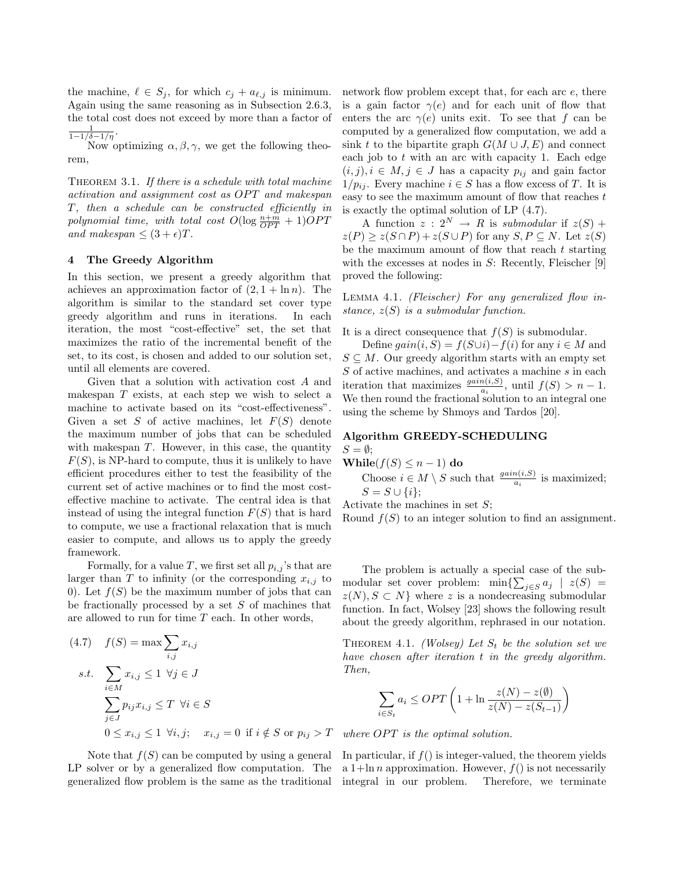the machine,  $\ell \in S_j$ , for which  $c_j + a_{\ell,j}$  is minimum. Again using the same reasoning as in Subsection 2.6.3, the total cost does not exceed by more than a factor of  $\frac{1}{1-1/\delta-1/\eta}$ .

Now optimizing  $\alpha, \beta, \gamma$ , we get the following theorem,

THEOREM 3.1. If there is a schedule with total machine activation and assignment cost as OPT and makespan T, then a schedule can be constructed efficiently in polynomial time, with total cost  $O(\log \frac{n+m}{OPT} + 1)OPT$ and makespan  $\leq (3 + \epsilon)T$ .

### 4 The Greedy Algorithm

In this section, we present a greedy algorithm that achieves an approximation factor of  $(2, 1 + \ln n)$ . The algorithm is similar to the standard set cover type greedy algorithm and runs in iterations. In each iteration, the most "cost-effective" set, the set that maximizes the ratio of the incremental benefit of the set, to its cost, is chosen and added to our solution set, until all elements are covered.

Given that a solution with activation cost A and makespan T exists, at each step we wish to select a machine to activate based on its "cost-effectiveness". Given a set S of active machines, let  $F(S)$  denote the maximum number of jobs that can be scheduled with makespan  $T$ . However, in this case, the quantity  $F(S)$ , is NP-hard to compute, thus it is unlikely to have efficient procedures either to test the feasibility of the current set of active machines or to find the most costeffective machine to activate. The central idea is that instead of using the integral function  $F(S)$  that is hard to compute, we use a fractional relaxation that is much easier to compute, and allows us to apply the greedy framework.

Formally, for a value T, we first set all  $p_{i,j}$ 's that are larger than T to infinity (or the corresponding  $x_{i,j}$  to 0). Let  $f(S)$  be the maximum number of jobs that can be fractionally processed by a set  $S$  of machines that are allowed to run for time  $T$  each. In other words,

$$
(4.7) \quad f(S) = \max \sum_{i,j} x_{i,j}
$$
  
s.t. 
$$
\sum_{i \in M} x_{i,j} \le 1 \ \forall j \in J
$$

$$
\sum_{j \in J} p_{ij} x_{i,j} \le T \ \forall i \in S
$$

$$
0 \le x_{i,j} \le 1 \ \forall i, j; \quad x_{i,j} = 0 \ \text{if } i \notin S \text{ or } p_{ij} > T
$$

Note that  $f(S)$  can be computed by using a general LP solver or by a generalized flow computation. The generalized flow problem is the same as the traditional

network flow problem except that, for each arc e, there is a gain factor  $\gamma(e)$  and for each unit of flow that enters the arc  $\gamma(e)$  units exit. To see that f can be computed by a generalized flow computation, we add a sink t to the bipartite graph  $G(M \cup J, E)$  and connect each job to  $t$  with an arc with capacity 1. Each edge  $(i, j), i \in M, j \in J$  has a capacity  $p_{ij}$  and gain factor  $1/p_{ii}$ . Every machine  $i \in S$  has a flow excess of T. It is easy to see the maximum amount of flow that reaches t is exactly the optimal solution of LP (4.7).

A function  $z: 2^N \rightarrow R$  is submodular if  $z(S)$  +  $z(P) \ge z(S \cap P) + z(S \cup P)$  for any  $S, P \subseteq N$ . Let  $z(S)$ be the maximum amount of flow that reach  $t$  starting with the excesses at nodes in  $S$ : Recently, Fleischer [9] proved the following:

Lemma 4.1. (Fleischer) For any generalized flow instance,  $z(S)$  is a submodular function.

It is a direct consequence that  $f(S)$  is submodular.

Define  $gain(i, S) = f(S \cup i) - f(i)$  for any  $i \in M$  and  $S \subseteq M$ . Our greedy algorithm starts with an empty set S of active machines, and activates a machine s in each iteration that maximizes  $\frac{gain(i,S)}{a_i}$ , until  $f(S) > n-1$ . We then round the fractional solution to an integral one using the scheme by Shmoys and Tardos [20].

## Algorithm GREEDY-SCHEDULING  $S = \emptyset$ :

While( $f(S) \leq n-1$ ) do Choose  $i \in M \setminus S$  such that  $\frac{gain(i,S)}{a_i}$  is maximized;  $S = S \cup \{i\};$ 

Activate the machines in set  $S$ ;

Round  $f(S)$  to an integer solution to find an assignment.

The problem is actually a special case of the submodular set cover problem:  $\min\{\sum_{j\in S} a_j \mid z(S) =$  $z(N), S \subset N$  where z is a nondecreasing submodular function. In fact, Wolsey [23] shows the following result about the greedy algorithm, rephrased in our notation.

THEOREM 4.1. (Wolsey) Let  $S_t$  be the solution set we have chosen after iteration t in the greedy algorithm. Then,

$$
\sum_{i \in S_t} a_i \le OPT \left( 1 + \ln \frac{z(N) - z(\emptyset)}{z(N) - z(S_{t-1})} \right)
$$

where  $OPT$  is the optimal solution.

In particular, if  $f()$  is integer-valued, the theorem yields a  $1+\ln n$  approximation. However,  $f()$  is not necessarily integral in our problem. Therefore, we terminate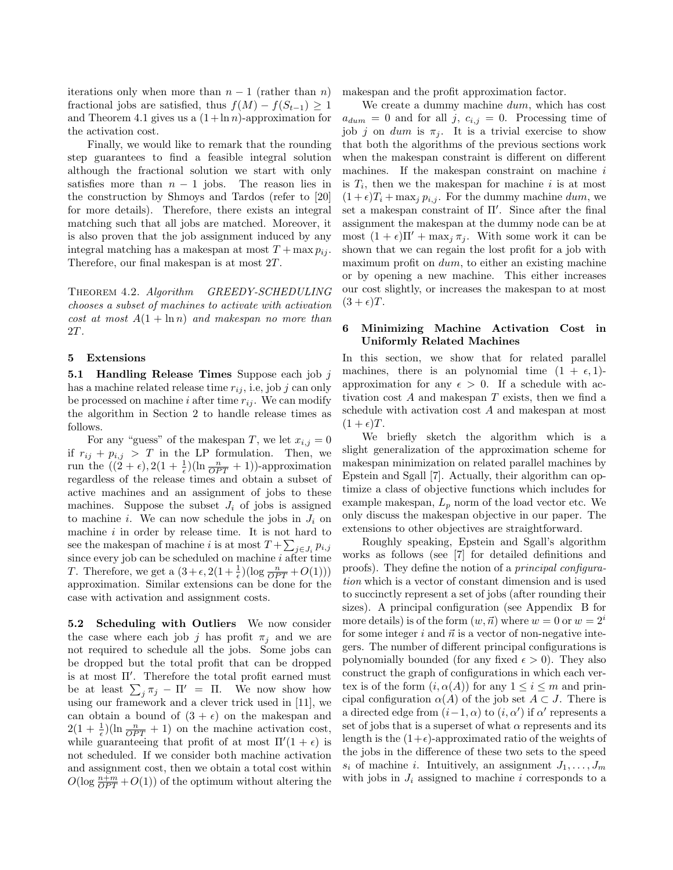iterations only when more than  $n-1$  (rather than n) fractional jobs are satisfied, thus  $f(M) - f(S_{t-1}) \geq 1$ and Theorem 4.1 gives us a  $(1 + \ln n)$ -approximation for the activation cost.

Finally, we would like to remark that the rounding step guarantees to find a feasible integral solution although the fractional solution we start with only satisfies more than  $n - 1$  jobs. The reason lies in the construction by Shmoys and Tardos (refer to [20] for more details). Therefore, there exists an integral matching such that all jobs are matched. Moreover, it is also proven that the job assignment induced by any integral matching has a makespan at most  $T + \max p_{ij}$ . Therefore, our final makespan is at most 2T.

Theorem 4.2. Algorithm GREEDY-SCHEDULING chooses a subset of machines to activate with activation cost at most  $A(1 + \ln n)$  and makespan no more than 2T.

## 5 Extensions

**5.1 Handling Release Times** Suppose each job  $j$ has a machine related release time  $r_{ij}$ , i.e, job j can only be processed on machine i after time  $r_{ij}$ . We can modify the algorithm in Section 2 to handle release times as follows.

For any "guess" of the makespan T, we let  $x_{i,j} = 0$ if  $r_{ij} + p_{i,j} > T$  in the LP formulation. Then, we run the  $((2 + \epsilon), 2(1 + \frac{1}{\epsilon})(\ln \frac{n}{OPT} + 1))$ -approximation regardless of the release times and obtain a subset of active machines and an assignment of jobs to these machines. Suppose the subset  $J_i$  of jobs is assigned to machine i. We can now schedule the jobs in  $J_i$  on machine  $i$  in order by release time. It is not hard to see the makespan of machine i is at most  $T + \sum_{j \in J_i} p_{i,j}$ since every job can be scheduled on machine  $i$  after time T. Therefore, we get a  $(3 + \epsilon, 2(1 + \frac{1}{\epsilon})(\log \frac{n}{OPT} + O(1)))$ approximation. Similar extensions can be done for the case with activation and assignment costs.

5.2 Scheduling with Outliers We now consider the case where each job j has profit  $\pi_i$  and we are not required to schedule all the jobs. Some jobs can be dropped but the total profit that can be dropped is at most  $\Pi'$ . Therefore the total profit earned must be at least  $\sum_j \pi_j - \Pi' = \Pi$ . We now show how using our framework and a clever trick used in [11], we can obtain a bound of  $(3 + \epsilon)$  on the makespan and  $2(1+\frac{1}{\epsilon})(\ln \frac{n}{OPT}+1)$  on the machine activation cost, while guaranteeing that profit of at most  $\Pi'(1 + \epsilon)$  is not scheduled. If we consider both machine activation and assignment cost, then we obtain a total cost within  $O(\log \frac{n+m}{OPT} + O(1))$  of the optimum without altering the

makespan and the profit approximation factor.

We create a dummy machine dum, which has cost  $a_{dum} = 0$  and for all j,  $c_{i,j} = 0$ . Processing time of job j on dum is  $\pi_j$ . It is a trivial exercise to show that both the algorithms of the previous sections work when the makespan constraint is different on different machines. If the makespan constraint on machine  $i$ is  $T_i$ , then we the makespan for machine i is at most  $(1 + \epsilon)T_i + \max_j p_{i,j}$ . For the dummy machine dum, we set a makespan constraint of  $\Pi'$ . Since after the final assignment the makespan at the dummy node can be at most  $(1 + \epsilon)\Pi' + \max_i \pi_i$ . With some work it can be shown that we can regain the lost profit for a job with maximum profit on dum, to either an existing machine or by opening a new machine. This either increases our cost slightly, or increases the makespan to at most  $(3 + \epsilon)T$ .

# 6 Minimizing Machine Activation Cost in Uniformly Related Machines

In this section, we show that for related parallel machines, there is an polynomial time  $(1 + \epsilon, 1)$ approximation for any  $\epsilon > 0$ . If a schedule with activation cost  $A$  and makespan  $T$  exists, then we find a schedule with activation cost A and makespan at most  $(1 + \epsilon)T$ .

We briefly sketch the algorithm which is a slight generalization of the approximation scheme for makespan minimization on related parallel machines by Epstein and Sgall [7]. Actually, their algorithm can optimize a class of objective functions which includes for example makespan,  $L_p$  norm of the load vector etc. We only discuss the makespan objective in our paper. The extensions to other objectives are straightforward.

Roughly speaking, Epstein and Sgall's algorithm works as follows (see [7] for detailed definitions and proofs). They define the notion of a principal configuration which is a vector of constant dimension and is used to succinctly represent a set of jobs (after rounding their sizes). A principal configuration (see Appendix B for more details) is of the form  $(w, \vec{n})$  where  $w = 0$  or  $w = 2<sup>i</sup>$ for some integer i and  $\vec{n}$  is a vector of non-negative integers. The number of different principal configurations is polynomially bounded (for any fixed  $\epsilon > 0$ ). They also construct the graph of configurations in which each vertex is of the form  $(i, \alpha(A))$  for any  $1 \leq i \leq m$  and principal configuration  $\alpha(A)$  of the job set  $A \subset J$ . There is a directed edge from  $(i-1, \alpha)$  to  $(i, \alpha')$  if  $\alpha'$  represents a set of jobs that is a superset of what  $\alpha$  represents and its length is the  $(1+\epsilon)$ -approximated ratio of the weights of the jobs in the difference of these two sets to the speed  $s_i$  of machine i. Intuitively, an assignment  $J_1, \ldots, J_m$ with jobs in  $J_i$  assigned to machine i corresponds to a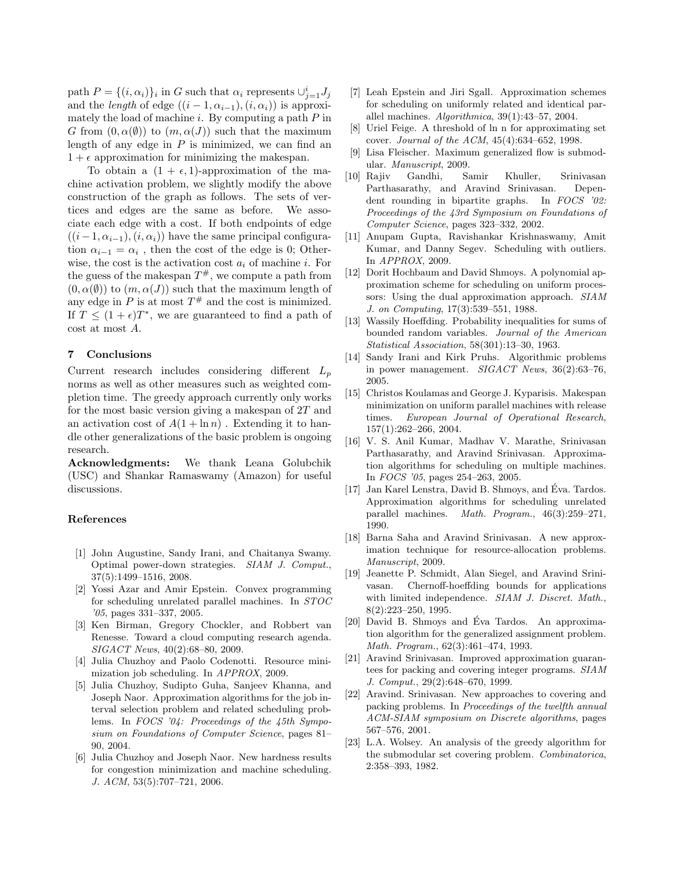path  $P = \{(i, \alpha_i)\}_i$  in G such that  $\alpha_i$  represents  $\cup_{j=1}^i J_j$ and the *length* of edge  $((i - 1, \alpha_{i-1}), (i, \alpha_i))$  is approximately the load of machine i. By computing a path  $P$  in G from  $(0, \alpha(\emptyset))$  to  $(m, \alpha(J))$  such that the maximum length of any edge in  $P$  is minimized, we can find an  $1 + \epsilon$  approximation for minimizing the makespan.

To obtain a  $(1 + \epsilon, 1)$ -approximation of the machine activation problem, we slightly modify the above construction of the graph as follows. The sets of vertices and edges are the same as before. We associate each edge with a cost. If both endpoints of edge  $((i-1, \alpha_{i-1}), (i, \alpha_i))$  have the same principal configuration  $\alpha_{i-1} = \alpha_i$ , then the cost of the edge is 0; Otherwise, the cost is the activation cost  $a_i$  of machine i. For the guess of the makespan  $T^{\#}$ , we compute a path from  $(0, \alpha(\emptyset))$  to  $(m, \alpha(J))$  such that the maximum length of any edge in  $P$  is at most  $T^{\#}$  and the cost is minimized. If  $T \leq (1 + \epsilon)T^*$ , we are guaranteed to find a path of cost at most A.

## 7 Conclusions

Current research includes considering different  $L_p$ norms as well as other measures such as weighted completion time. The greedy approach currently only works for the most basic version giving a makespan of  $2T$  and an activation cost of  $A(1 + \ln n)$ . Extending it to handle other generalizations of the basic problem is ongoing research.

Acknowledgments: We thank Leana Golubchik (USC) and Shankar Ramaswamy (Amazon) for useful discussions.

### References

- [1] John Augustine, Sandy Irani, and Chaitanya Swamy. Optimal power-down strategies. SIAM J. Comput., 37(5):1499–1516, 2008.
- [2] Yossi Azar and Amir Epstein. Convex programming for scheduling unrelated parallel machines. In STOC '05, pages 331–337, 2005.
- [3] Ken Birman, Gregory Chockler, and Robbert van Renesse. Toward a cloud computing research agenda. SIGACT News, 40(2):68–80, 2009.
- [4] Julia Chuzhoy and Paolo Codenotti. Resource minimization job scheduling. In APPROX, 2009.
- [5] Julia Chuzhoy, Sudipto Guha, Sanjeev Khanna, and Joseph Naor. Approximation algorithms for the job interval selection problem and related scheduling problems. In FOCS '04: Proceedings of the 45th Symposium on Foundations of Computer Science, pages 81– 90, 2004.
- [6] Julia Chuzhoy and Joseph Naor. New hardness results for congestion minimization and machine scheduling. J. ACM, 53(5):707–721, 2006.
- [7] Leah Epstein and Jiri Sgall. Approximation schemes for scheduling on uniformly related and identical parallel machines. Algorithmica, 39(1):43–57, 2004.
- [8] Uriel Feige. A threshold of ln n for approximating set cover. Journal of the ACM, 45(4):634–652, 1998.
- [9] Lisa Fleischer. Maximum generalized flow is submodular. Manuscript, 2009.
- [10] Rajiv Gandhi, Samir Khuller, Srinivasan Parthasarathy, and Aravind Srinivasan. Dependent rounding in bipartite graphs. In FOCS '02: Proceedings of the 43rd Symposium on Foundations of Computer Science, pages 323–332, 2002.
- [11] Anupam Gupta, Ravishankar Krishnaswamy, Amit Kumar, and Danny Segev. Scheduling with outliers. In APPROX, 2009.
- [12] Dorit Hochbaum and David Shmoys. A polynomial approximation scheme for scheduling on uniform processors: Using the dual approximation approach. SIAM J. on Computing, 17(3):539–551, 1988.
- [13] Wassily Hoeffding. Probability inequalities for sums of bounded random variables. Journal of the American Statistical Association, 58(301):13–30, 1963.
- [14] Sandy Irani and Kirk Pruhs. Algorithmic problems in power management. SIGACT News, 36(2):63–76, 2005.
- [15] Christos Koulamas and George J. Kyparisis. Makespan minimization on uniform parallel machines with release times. European Journal of Operational Research, 157(1):262–266, 2004.
- [16] V. S. Anil Kumar, Madhav V. Marathe, Srinivasan Parthasarathy, and Aravind Srinivasan. Approximation algorithms for scheduling on multiple machines. In FOCS '05, pages 254–263, 2005.
- [17] Jan Karel Lenstra, David B. Shmoys, and Eva. Tardos. ´ Approximation algorithms for scheduling unrelated parallel machines. Math. Program., 46(3):259–271, 1990.
- [18] Barna Saha and Aravind Srinivasan. A new approximation technique for resource-allocation problems. Manuscript, 2009.
- [19] Jeanette P. Schmidt, Alan Siegel, and Aravind Srinivasan. Chernoff-hoeffding bounds for applications with limited independence. SIAM J. Discret. Math., 8(2):223–250, 1995.
- [20] David B. Shmoys and Éva Tardos. An approximation algorithm for the generalized assignment problem. Math. Program., 62(3):461–474, 1993.
- [21] Aravind Srinivasan. Improved approximation guarantees for packing and covering integer programs. SIAM J. Comput., 29(2):648–670, 1999.
- [22] Aravind. Srinivasan. New approaches to covering and packing problems. In Proceedings of the twelfth annual ACM-SIAM symposium on Discrete algorithms, pages 567–576, 2001.
- [23] L.A. Wolsey. An analysis of the greedy algorithm for the submodular set covering problem. Combinatorica, 2:358–393, 1982.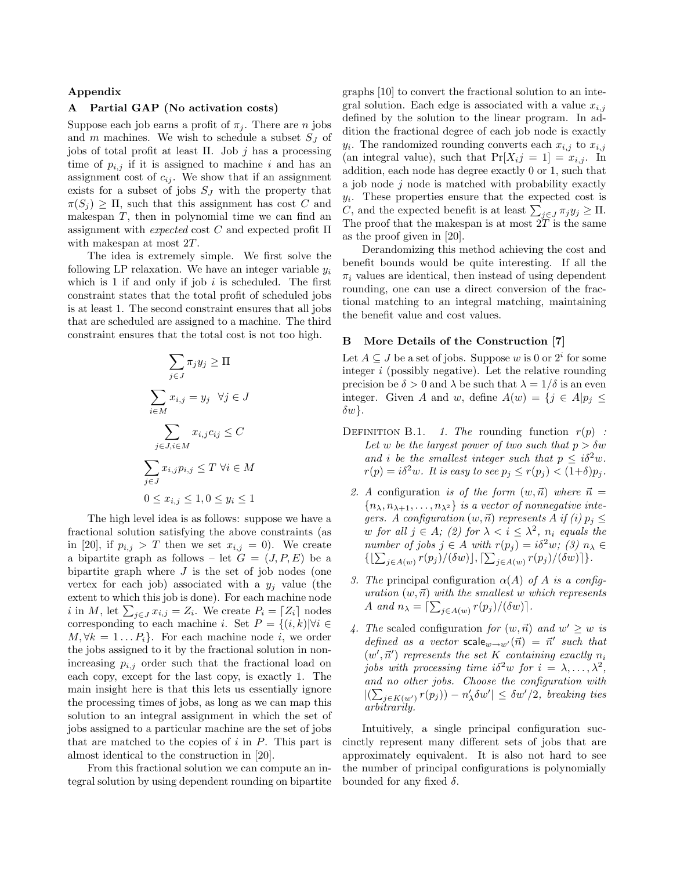### Appendix

# A Partial GAP (No activation costs)

Suppose each job earns a profit of  $\pi_j$ . There are *n* jobs and  $m$  machines. We wish to schedule a subset  $S_J$  of jobs of total profit at least Π. Job  $j$  has a processing time of  $p_{i,j}$  if it is assigned to machine i and has an assignment cost of  $c_{ij}$ . We show that if an assignment exists for a subset of jobs  $S_J$  with the property that  $\pi(S_i) \geq \Pi$ , such that this assignment has cost C and makespan  $T$ , then in polynomial time we can find an assignment with *expected* cost  $C$  and expected profit  $\Pi$ with makespan at most  $2T$ .

The idea is extremely simple. We first solve the following LP relaxation. We have an integer variable  $y_i$ which is 1 if and only if job  $i$  is scheduled. The first constraint states that the total profit of scheduled jobs is at least 1. The second constraint ensures that all jobs that are scheduled are assigned to a machine. The third constraint ensures that the total cost is not too high.

$$
\sum_{j \in J} \pi_j y_j \ge \Pi
$$
  

$$
\sum_{i \in M} x_{i,j} = y_j \quad \forall j \in J
$$
  

$$
\sum_{j \in J, i \in M} x_{i,j} c_{ij} \le C
$$
  

$$
\sum_{j \in J} x_{i,j} p_{i,j} \le T \quad \forall i \in M
$$
  

$$
0 \le x_{i,j} \le 1, 0 \le y_i \le 1
$$

The high level idea is as follows: suppose we have a fractional solution satisfying the above constraints (as in [20], if  $p_{i,j} > T$  then we set  $x_{i,j} = 0$ ). We create a bipartite graph as follows – let  $G = (J, P, E)$  be a bipartite graph where  $J$  is the set of job nodes (one vertex for each job) associated with a  $y_j$  value (the extent to which this job is done). For each machine node *i* in M, let  $\sum_{j\in J} x_{i,j} = Z_i$ . We create  $P_i = \lceil Z_i \rceil$  nodes corresponding to each machine i. Set  $P = \{(i,k)|\forall i \in$  $M, \forall k = 1 \dots P_i$ . For each machine node i, we order the jobs assigned to it by the fractional solution in nonincreasing  $p_{i,j}$  order such that the fractional load on each copy, except for the last copy, is exactly 1. The main insight here is that this lets us essentially ignore the processing times of jobs, as long as we can map this solution to an integral assignment in which the set of jobs assigned to a particular machine are the set of jobs that are matched to the copies of  $i$  in  $P$ . This part is almost identical to the construction in [20].

From this fractional solution we can compute an integral solution by using dependent rounding on bipartite graphs [10] to convert the fractional solution to an integral solution. Each edge is associated with a value  $x_{i,j}$ defined by the solution to the linear program. In addition the fractional degree of each job node is exactly  $y_i$ . The randomized rounding converts each  $x_{i,j}$  to  $x_{i,j}$ (an integral value), such that  $Pr[X_i j = 1] = x_{i,j}$ . In addition, each node has degree exactly 0 or 1, such that a job node  $j$  node is matched with probability exactly  $y_i$ . These properties ensure that the expected cost is C, and the expected benefit is at least  $\sum_{j\in J}\pi_jy_j \geq \Pi$ . The proof that the makespan is at most  $2\tilde{T}$  is the same as the proof given in [20].

Derandomizing this method achieving the cost and benefit bounds would be quite interesting. If all the  $\pi_i$  values are identical, then instead of using dependent rounding, one can use a direct conversion of the fractional matching to an integral matching, maintaining the benefit value and cost values.

### B More Details of the Construction [7]

Let  $A \subseteq J$  be a set of jobs. Suppose w is 0 or  $2^i$  for some integer  $i$  (possibly negative). Let the relative rounding precision be  $\delta > 0$  and  $\lambda$  be such that  $\lambda = 1/\delta$  is an even integer. Given A and w, define  $A(w) = \{j \in A | p_j \leq$  $\delta w$ .

- DEFINITION B.1. 1. The rounding function  $r(p)$ : Let w be the largest power of two such that  $p > \delta w$ and i be the smallest integer such that  $p \leq i\delta^2 w$ .  $r(p) = i\delta^2 w$ . It is easy to see  $p_j \leq r(p_j) < (1+\delta)p_j$ .
	- 2. A configuration is of the form  $(w, \vec{n})$  where  $\vec{n} =$  ${n_{\lambda}, n_{\lambda+1}, \ldots, n_{\lambda^2}}$  is a vector of nonnegative integers. A configuration  $(w, \vec{n})$  represents A if (i)  $p_i \leq$ w for all  $j \in A$ ; (2) for  $\lambda < i \leq \lambda^2$ ,  $n_i$  equals the number of jobs  $j \in A$  with  $r(p_i) = i\delta^2 w$ ; (3)  $n_\lambda \in$  $\{\left[\sum_{j\in A(w)} r(p_j) / (\delta w)\right], \left[\sum_{j\in A(w)} r(p_j) / (\delta w)\right]\}.$
	- 3. The principal configuration  $\alpha(A)$  of A is a configuration  $(w, \vec{n})$  with the smallest w which represents A and  $n_{\lambda} = \left[\sum_{j \in A(w)} r(p_j) / (\delta w)\right]$ .
	- 4. The scaled configuration for  $(w, \vec{n})$  and  $w' \geq w$  is defined as a vector scale<sub>w→w'</sub>( $\vec{n}$ ) =  $\vec{n}'$  such that  $(w', \vec{n}')$  represents the set K containing exactly  $n_i$ jobs with processing time  $i\delta^2 w$  for  $i = \lambda, \ldots, \lambda^2$ , and no other jobs. Choose the configuration with  $|(\sum_{j \in K(w')} r(p_j)) - n'_{\lambda} \delta w'| \leq \delta w'/2$ , breaking ties arbitrarily.

Intuitively, a single principal configuration succinctly represent many different sets of jobs that are approximately equivalent. It is also not hard to see the number of principal configurations is polynomially bounded for any fixed  $\delta$ .